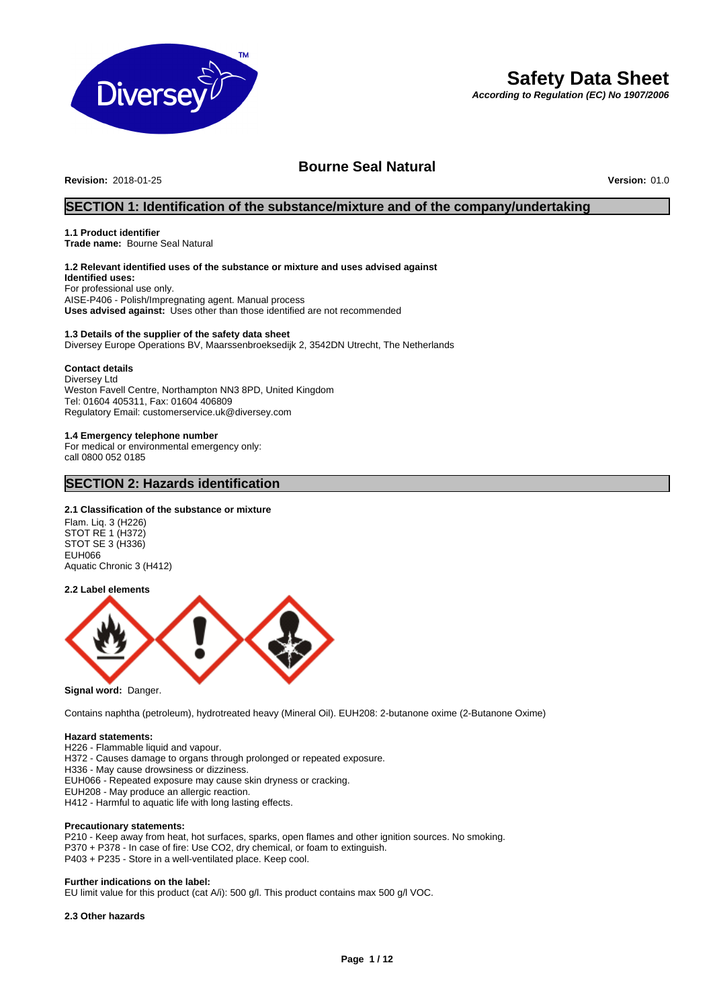

# **Safety Data Sheet**

*According to Regulation (EC) No 1907/2006*

## **Bourne Seal Natural**

**Revision:** 2018-01-25 **Version:** 01.0

## **SECTION 1: Identification of the substance/mixture and of the company/undertaking**

#### **1.1 Product identifier**

**Trade name:** Bourne Seal Natural

## **1.2 Relevant identified uses of the substance or mixture and uses advised against**

**Identified uses:** For professional use only. AISE-P406 - Polish/Impregnating agent. Manual process **Uses advised against:** Uses other than those identified are not recommended

#### **1.3 Details of the supplier of the safety data sheet** Diversey Europe Operations BV, Maarssenbroeksedijk 2, 3542DN Utrecht, The Netherlands

#### **Contact details**

Diversey Ltd Weston Favell Centre, Northampton NN3 8PD, United Kingdom Tel: 01604 405311, Fax: 01604 406809 Regulatory Email: customerservice.uk@diversey.com

#### **1.4 Emergency telephone number**

For medical or environmental emergency only: call 0800 052 0185

## **SECTION 2: Hazards identification**

#### **2.1 Classification of the substance or mixture**

Flam. Liq. 3 (H226) STOT RE 1 (H372) STOT SE 3 (H336) EUH066 Aquatic Chronic 3 (H412)

#### **2.2 Label elements**



**Signal word:** Danger.

Contains naphtha (petroleum), hydrotreated heavy (Mineral Oil). EUH208: 2-butanone oxime (2-Butanone Oxime)

#### **Hazard statements:**

H226 - Flammable liquid and vapour.

H372 - Causes damage to organs through prolonged or repeated exposure.

H336 - May cause drowsiness or dizziness.

EUH066 - Repeated exposure may cause skin dryness or cracking.

EUH208 - May produce an allergic reaction.

H412 - Harmful to aquatic life with long lasting effects.

#### **Precautionary statements:**

P210 - Keep away from heat, hot surfaces, sparks, open flames and other ignition sources. No smoking. P370 + P378 - In case of fire: Use CO2, dry chemical, or foam to extinguish. P403 + P235 - Store in a well-ventilated place. Keep cool.

#### **Further indications on the label:**

EU limit value for this product (cat A/i): 500 g/l. This product contains max 500 g/l VOC.

#### **2.3 Other hazards**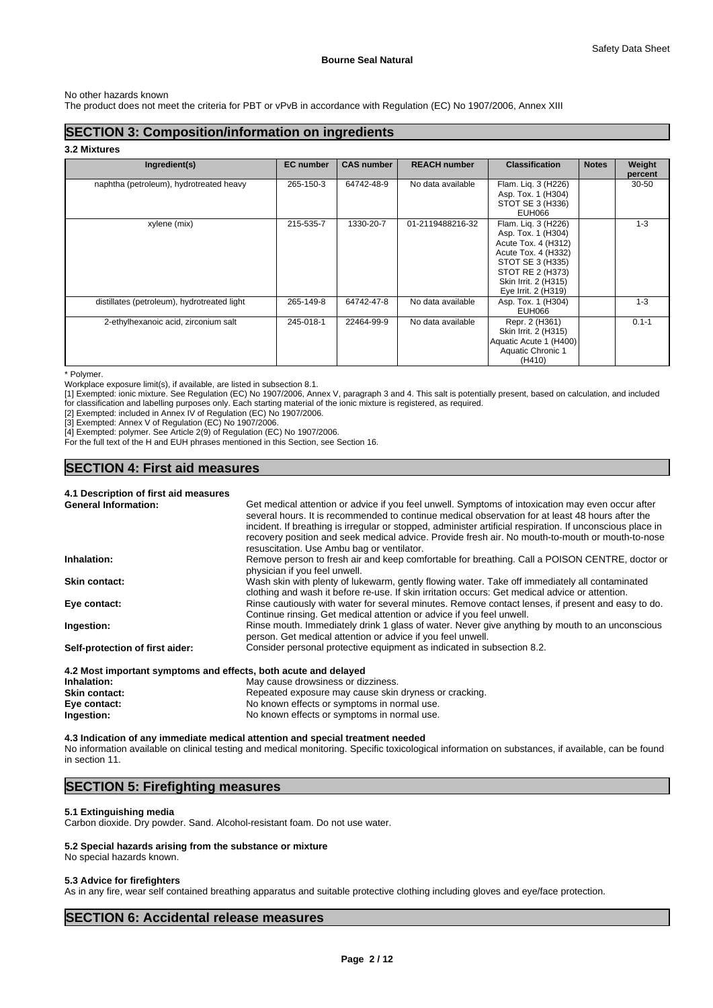#### No other hazards known

The product does not meet the criteria for PBT or vPvB in accordance with Regulation (EC) No 1907/2006, Annex XIII

## **SECTION 3: Composition/information on ingredients**

**3.2 Mixtures**

| Ingredient(s)                               | <b>EC</b> number | <b>CAS number</b> | <b>REACH number</b> | <b>Classification</b>                                                                                                                                                          | <b>Notes</b> | Weight<br>percent |
|---------------------------------------------|------------------|-------------------|---------------------|--------------------------------------------------------------------------------------------------------------------------------------------------------------------------------|--------------|-------------------|
| naphtha (petroleum), hydrotreated heavy     | 265-150-3        | 64742-48-9        | No data available   | Flam. Lig. 3 (H226)<br>Asp. Tox. 1 (H304)<br>STOT SE 3 (H336)<br><b>EUH066</b>                                                                                                 |              | 30-50             |
| xylene (mix)                                | 215-535-7        | 1330-20-7         | 01-2119488216-32    | Flam. Lig. 3 (H226)<br>Asp. Tox. 1 (H304)<br>Acute Tox. 4 (H312)<br>Acute Tox. 4 (H332)<br>STOT SE 3 (H335)<br>STOT RE 2 (H373)<br>Skin Irrit. 2 (H315)<br>Eye Irrit. 2 (H319) |              | $1 - 3$           |
| distillates (petroleum), hydrotreated light | 265-149-8        | 64742-47-8        | No data available   | Asp. Tox. 1 (H304)<br>EUH066                                                                                                                                                   |              | $1 - 3$           |
| 2-ethylhexanoic acid, zirconium salt        | 245-018-1        | 22464-99-9        | No data available   | Repr. 2 (H361)<br>Skin Irrit. 2 (H315)<br>Aquatic Acute 1 (H400)<br>Aquatic Chronic 1<br>(H410)                                                                                |              | $0.1 - 1$         |

\* Polymer.

Workplace exposure limit(s), if available, are listed in subsection 8.1.

[1] Exempted: ionic mixture. See Regulation (EC) No 1907/2006, Annex V, paragraph 3 and 4. This salt is potentially present, based on calculation, and included for classification and labelling purposes only. Each starting material of the ionic mixture is registered, as required.

[2] Exempted: included in Annex IV of Regulation (EC) No 1907/2006.

[3] Exempted: Annex V of Regulation (EC) No 1907/2006.

[4] Exempted: polymer. See Article 2(9) of Regulation (EC) No 1907/2006.

For the full text of the H and EUH phrases mentioned in this Section, see Section 16.

## **SECTION 4: First aid measures**

## **4.1 Description of first aid measures**

| <b>General Information:</b>     | Get medical attention or advice if you feel unwell. Symptoms of intoxication may even occur after<br>several hours. It is recommended to continue medical observation for at least 48 hours after the<br>incident. If breathing is irregular or stopped, administer artificial respiration. If unconscious place in<br>recovery position and seek medical advice. Provide fresh air. No mouth-to-mouth or mouth-to-nose<br>resuscitation. Use Ambu bag or ventilator. |
|---------------------------------|-----------------------------------------------------------------------------------------------------------------------------------------------------------------------------------------------------------------------------------------------------------------------------------------------------------------------------------------------------------------------------------------------------------------------------------------------------------------------|
| Inhalation:                     | Remove person to fresh air and keep comfortable for breathing. Call a POISON CENTRE, doctor or<br>physician if you feel unwell.                                                                                                                                                                                                                                                                                                                                       |
| <b>Skin contact:</b>            | Wash skin with plenty of lukewarm, gently flowing water. Take off immediately all contaminated<br>clothing and wash it before re-use. If skin irritation occurs: Get medical advice or attention.                                                                                                                                                                                                                                                                     |
| Eye contact:                    | Rinse cautiously with water for several minutes. Remove contact lenses, if present and easy to do.<br>Continue rinsing. Get medical attention or advice if you feel unwell.                                                                                                                                                                                                                                                                                           |
| Ingestion:                      | Rinse mouth. Immediately drink 1 glass of water. Never give anything by mouth to an unconscious<br>person. Get medical attention or advice if you feel unwell.                                                                                                                                                                                                                                                                                                        |
| Self-protection of first aider: | Consider personal protective equipment as indicated in subsection 8.2.                                                                                                                                                                                                                                                                                                                                                                                                |

## **4.2 Most important symptoms and effects, both acute and delayed**

| Inhalation:          | May cause drowsiness or dizziness.                    |
|----------------------|-------------------------------------------------------|
| <b>Skin contact:</b> | Repeated exposure may cause skin dryness or cracking. |
| Eye contact:         | No known effects or symptoms in normal use.           |
| Ingestion:           | No known effects or symptoms in normal use.           |

**4.3 Indication of any immediate medical attention and special treatment needed** No information available on clinical testing and medical monitoring. Specific toxicological information on substances, if available, can be found in section 11.

## **SECTION 5: Firefighting measures**

#### **5.1 Extinguishing media**

Carbon dioxide. Dry powder. Sand. Alcohol-resistant foam. Do not use water.

#### **5.2 Special hazards arising from the substance or mixture**

## No special hazards known.

## **5.3 Advice for firefighters**

As in any fire, wear self contained breathing apparatus and suitable protective clothing including gloves and eye/face protection.

## **SECTION 6: Accidental release measures**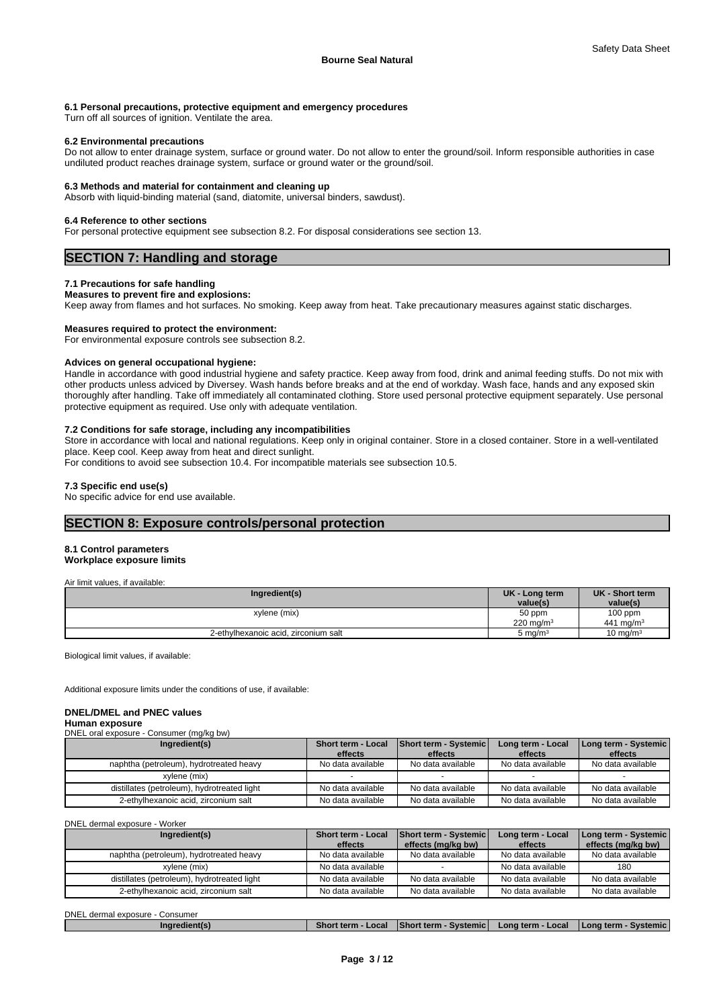#### **6.1 Personal precautions, protective equipment and emergency procedures**

Turn off all sources of ignition. Ventilate the area.

#### **6.2 Environmental precautions**

Do not allow to enter drainage system, surface or ground water. Do not allow to enter the ground/soil. Inform responsible authorities in case undiluted product reaches drainage system, surface or ground water or the ground/soil.

#### **6.3 Methods and material for containment and cleaning up**

Absorb with liquid-binding material (sand, diatomite, universal binders, sawdust).

#### **6.4 Reference to other sections**

For personal protective equipment see subsection 8.2. For disposal considerations see section 13.

## **SECTION 7: Handling and storage**

### **7.1 Precautions for safe handling**

#### **Measures to prevent fire and explosions:**

Keep away from flames and hot surfaces. No smoking. Keep away from heat. Take precautionary measures against static discharges.

#### **Measures required to protect the environment:**

For environmental exposure controls see subsection 8.2.

#### **Advices on general occupational hygiene:**

Handle in accordance with good industrial hygiene and safety practice. Keep away from food, drink and animal feeding stuffs. Do not mix with other products unless adviced by Diversey. Wash hands before breaks and at the end of workday. Wash face, hands and any exposed skin thoroughly after handling. Take off immediately all contaminated clothing. Store used personal protective equipment separately. Use personal protective equipment as required. Use only with adequate ventilation.

#### **7.2 Conditions for safe storage, including any incompatibilities**

Store in accordance with local and national regulations. Keep only in original container. Store in a closed container. Store in a well-ventilated place. Keep cool. Keep away from heat and direct sunlight.

For conditions to avoid see subsection 10.4. For incompatible materials see subsection 10.5.

#### **7.3 Specific end use(s)**

No specific advice for end use available.

## **SECTION 8: Exposure controls/personal protection**

#### **8.1 Control parameters**

#### **Workplace exposure limits**

| Air limit values, if available:      |                      |                       |
|--------------------------------------|----------------------|-----------------------|
| Ingredient(s)                        | UK - Long term       | UK - Short term       |
|                                      | value(s)             | value(s)              |
| xylene (mix)                         | 50 ppm               | $100$ ppm             |
|                                      | $220 \text{ ma/m}^3$ | 441 mg/m <sup>3</sup> |
| 2-ethylhexanoic acid, zirconium salt | $5 \text{ mg/m}^3$   | $10 \text{ mg/m}^3$   |

Biological limit values, if available:

Additional exposure limits under the conditions of use, if available:

#### **DNEL/DMEL and PNEC values**

#### **Human exposure**  $P$

| <b>PINCE OTAL GAPOSULE - COLISULIIEI (THANG DW)</b> |                                      |                                         |                              |                                 |
|-----------------------------------------------------|--------------------------------------|-----------------------------------------|------------------------------|---------------------------------|
| Ingredient(s)                                       | <b>Short term - Local</b><br>effects | <b>Short term - Systemic</b><br>effects | Long term - Local<br>effects | Long term - Systemic<br>effects |
| naphtha (petroleum), hydrotreated heavy             | No data available                    | No data available                       | No data available            | No data available               |
| xvlene (mix)                                        |                                      |                                         |                              |                                 |
| distillates (petroleum), hydrotreated light         | No data available                    | No data available                       | No data available            | No data available               |
| 2-ethylhexanoic acid, zirconium salt                | No data available                    | No data available                       | No data available            | No data available               |

DNEL dermal exposure - Worker

| Ingredient(s)                               | <b>Short term - Local</b><br>effects | <b>Short term - Systemic</b><br>effects (mg/kg bw) | Long term - Local<br>effects | Long term - Systemic<br>effects (mg/kg bw) |
|---------------------------------------------|--------------------------------------|----------------------------------------------------|------------------------------|--------------------------------------------|
| naphtha (petroleum), hydrotreated heavy     | No data available                    | No data available                                  | No data available            | No data available                          |
| xvlene (mix)                                | No data available                    |                                                    | No data available            | 180                                        |
| distillates (petroleum), hydrotreated light | No data available                    | No data available                                  | No data available            | No data available                          |
| 2-ethylhexanoic acid, zirconium salt        | No data available                    | No data available                                  | No data available            | No data available                          |

### DNEL dermal exposure - Consumer

| . .<br>Local<br>∣ Lona term<br><b>Systemic</b><br>Svstemic<br>Inaredient<br>_ocal<br>.ona<br>snor<br>. Short term<br>' term<br>. |
|----------------------------------------------------------------------------------------------------------------------------------|
|----------------------------------------------------------------------------------------------------------------------------------|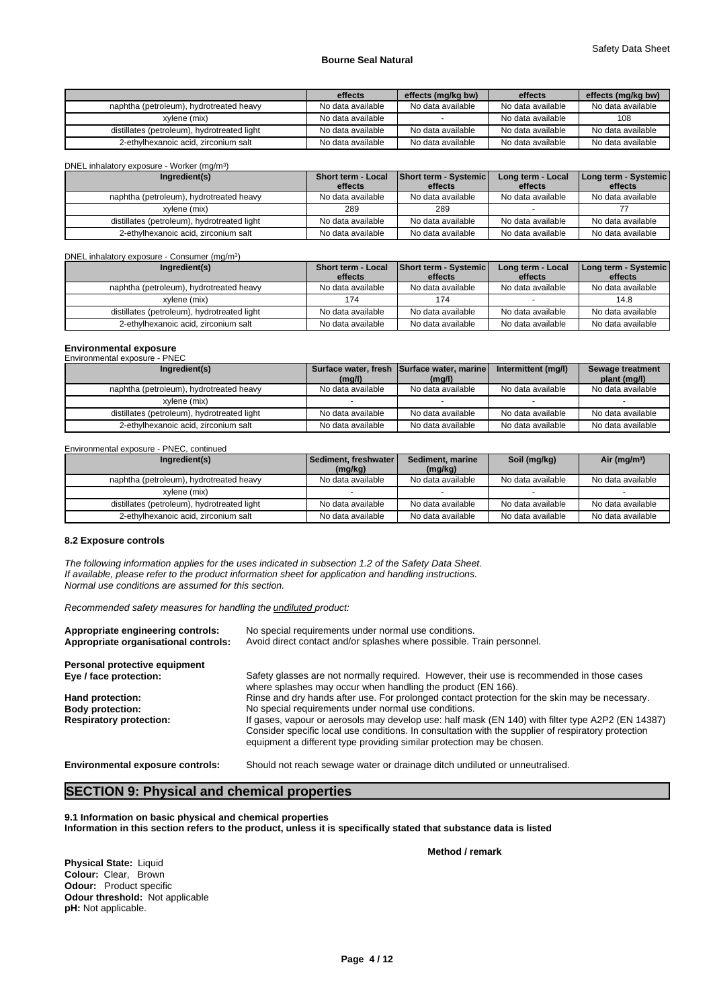|                                             | effects           | effects (mg/kg bw) | effects           | effects (mg/kg bw) |
|---------------------------------------------|-------------------|--------------------|-------------------|--------------------|
| naphtha (petroleum), hydrotreated heavy     | No data available | No data available  | No data available | No data available  |
| xvlene (mix)                                | No data available |                    | No data available | 108                |
| distillates (petroleum), hydrotreated light | No data available | No data available  | No data available | No data available  |
| 2-ethylhexanoic acid. zirconium salt        | No data available | No data available  | No data available | No data available  |

| DNEL inhalatory exposure - Worker (mg/m <sup>3</sup> ) |                                      |                                  |                              |                                 |
|--------------------------------------------------------|--------------------------------------|----------------------------------|------------------------------|---------------------------------|
| Ingredient(s)                                          | <b>Short term - Local</b><br>effects | Short term - Systemic<br>effects | Long term - Local<br>effects | Long term - Systemic<br>effects |
| naphtha (petroleum), hydrotreated heavy                | No data available                    | No data available                | No data available            | No data available               |
| xvlene (mix)                                           | 289                                  | 289                              |                              |                                 |
| distillates (petroleum), hydrotreated light            | No data available                    | No data available                | No data available            | No data available               |
| 2-ethylhexanoic acid, zirconium salt                   | No data available                    | No data available                | No data available            | No data available               |

DNEL inhalatory exposure - Consumer (mg/m<sup>3</sup>)

| Ingredient(s)                               | <b>Short term - Local</b><br>effects | Short term - Systemic<br>effects | Long term - Local<br>effects | Long term - Systemic<br>effects |
|---------------------------------------------|--------------------------------------|----------------------------------|------------------------------|---------------------------------|
| naphtha (petroleum), hydrotreated heavy     | No data available                    | No data available                | No data available            | No data available               |
| xvlene (mix)                                | 174                                  | 174                              |                              | 14.8                            |
| distillates (petroleum), hydrotreated light | No data available                    | No data available                | No data available            | No data available               |
| 2-ethylhexanoic acid, zirconium salt        | No data available                    | No data available                | No data available            | No data available               |

## **Environmental exposure** Environmental exposure - PNEC

| LINIUIIILUIRIU VADUJULU<br>.                |                   |                                            |                     |                   |
|---------------------------------------------|-------------------|--------------------------------------------|---------------------|-------------------|
| Ingredient(s)                               |                   | Surface water, fresh Surface water, marine | Intermittent (mg/l) | Sewage treatment  |
|                                             | (mq/l)            | (mq/l)                                     |                     | plant (mg/l)      |
| naphtha (petroleum), hydrotreated heavy     | No data available | No data available                          | No data available   | No data available |
| xvlene (mix)                                |                   |                                            |                     |                   |
| distillates (petroleum), hydrotreated light | No data available | No data available                          | No data available   | No data available |
| 2-ethylhexanoic acid, zirconium salt        | No data available | No data available                          | No data available   | No data available |

Environmental exposure - PNEC, continued

| Ingredient(s)                               | Sediment, freshwater | Soil (mg/kg)<br>Sediment, marine |                   | Air ( $mq/m3$ )   |
|---------------------------------------------|----------------------|----------------------------------|-------------------|-------------------|
|                                             | (mg/kg)              | (mq/kg)                          |                   |                   |
| naphtha (petroleum), hydrotreated heavy     | No data available    | No data available                | No data available | No data available |
| xvlene (mix)                                |                      |                                  |                   |                   |
| distillates (petroleum), hydrotreated light | No data available    | No data available                | No data available | No data available |
| 2-ethylhexanoic acid, zirconium salt        | No data available    | No data available                | No data available | No data available |

#### **8.2 Exposure controls**

*The following information applies for the uses indicated in subsection 1.2 of the Safety Data Sheet. If available, please refer to the product information sheet for application and handling instructions. Normal use conditions are assumed for this section.*

)

*Recommended safety measures for handling the undiluted product:*

| No special requirements under normal use conditions.<br>Avoid direct contact and/or splashes where possible. Train personnel.                                                                                                                                                      |
|------------------------------------------------------------------------------------------------------------------------------------------------------------------------------------------------------------------------------------------------------------------------------------|
|                                                                                                                                                                                                                                                                                    |
| Safety glasses are not normally required. However, their use is recommended in those cases<br>where splashes may occur when handling the product (EN 166).                                                                                                                         |
| Rinse and dry hands after use. For prolonged contact protection for the skin may be necessary.                                                                                                                                                                                     |
| No special requirements under normal use conditions.                                                                                                                                                                                                                               |
| If gases, vapour or aerosols may develop use: half mask (EN 140) with filter type A2P2 (EN 14387)<br>Consider specific local use conditions. In consultation with the supplier of respiratory protection<br>equipment a different type providing similar protection may be chosen. |
|                                                                                                                                                                                                                                                                                    |

**Environmental exposure controls:** Should not reach sewage water or drainage ditch undiluted or unneutralised.

## **SECTION 9: Physical and chemical properties**

**9.1 Information on basic physical and chemical properties Information in this section refers to the product, unless it is specifically stated that substance data is listed**

**Method / remark**

**Physical State:** Liquid **Colour:** Clear, Brown **Odour:** Product specific **Odour threshold:** Not applicable **pH:** Not applicable.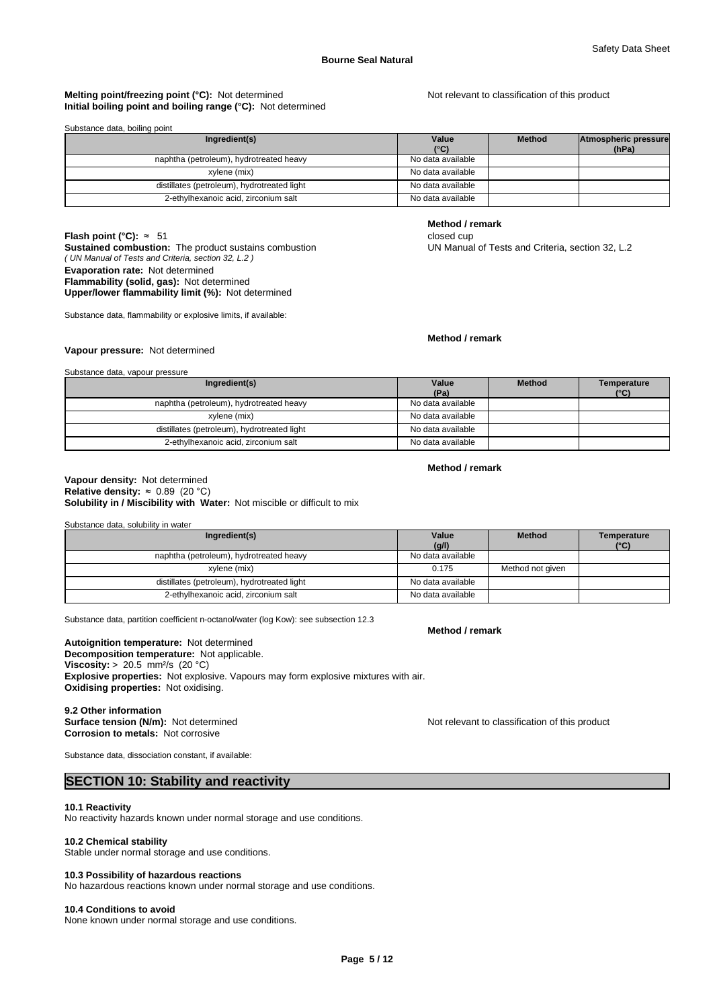#### **Melting point/freezing point (°C):** Not determined Not relevant to classification of this product **Initial boiling point and boiling range (°C):** Not determined

| Substance data, boiling point               |                        |               |                               |
|---------------------------------------------|------------------------|---------------|-------------------------------|
| Ingredient(s)                               | Value<br>$(^{\circ}C)$ | <b>Method</b> | Atmospheric pressure<br>(hPa) |
| naphtha (petroleum), hydrotreated heavy     | No data available      |               |                               |
| xylene (mix)                                | No data available      |               |                               |
| distillates (petroleum), hydrotreated light | No data available      |               |                               |
| 2-ethylhexanoic acid, zirconium salt        | No data available      |               |                               |

## **Flash point (°C):** ≈ 51 closed cup

*( UN Manual of Tests and Criteria, section 32, L.2 )* **Sustained combustion:** The product sustains combustion UN Manual of Tests and Criteria, section 32, L.2 **Evaporation rate:** Not determined **Flammability (solid, gas):** Not determined

## **Upper/lower flammability limit (%):** Not determined

Substance data, flammability or explosive limits, if available:

#### **Method / remark**

**Method / remark**

## **Vapour pressure:** Not determined

| Substance data, vapour pressure |  |
|---------------------------------|--|
|---------------------------------|--|

| Ingredient(s)                               | Value<br>(Pa)     | <b>Method</b> | Temperature<br>(°C) |
|---------------------------------------------|-------------------|---------------|---------------------|
| naphtha (petroleum), hydrotreated heavy     | No data available |               |                     |
| xvlene (mix)                                | No data available |               |                     |
| distillates (petroleum), hydrotreated light | No data available |               |                     |
| 2-ethylhexanoic acid, zirconium salt        | No data available |               |                     |

#### **Method / remark**

**Method / remark**

#### **Solubility in / Miscibility with Water:** Not miscible or difficult to mix **Vapour density:** Not determined **Relative density:** ≈0.89(20°C)

| Substance data, solubility in water         |                   |                  |                              |
|---------------------------------------------|-------------------|------------------|------------------------------|
| Ingredient(s)                               | Value<br>(g/l)    | <b>Method</b>    | Temperature<br>$(^{\circ}C)$ |
| naphtha (petroleum), hydrotreated heavy     | No data available |                  |                              |
| xylene (mix)                                | 0.175             | Method not given |                              |
| distillates (petroleum), hydrotreated light | No data available |                  |                              |
| 2-ethylhexanoic acid, zirconium salt        | No data available |                  |                              |

Substance data, partition coefficient n-octanol/water (log Kow): see subsection 12.3

## **Autoignition temperature:** Not determined

**Decomposition temperature:** Not applicable. **Viscosity:** > 20.5 mm<sup>2</sup>/s (20 °C) **Explosive properties:** Not explosive. Vapours may form explosive mixtures with air. **Oxidising properties:** Not oxidising.

#### **9.2 Other information**

**Corrosion to metals:** Not corrosive

**Surface tension (N/m):** Not determined **Notification in the Not relevant to classification of this product** 

Substance data, dissociation constant, if available:

## **SECTION 10: Stability and reactivity**

#### **10.1 Reactivity**

No reactivity hazards known under normal storage and use conditions.

#### **10.2 Chemical stability**

Stable under normal storage and use conditions.

#### **10.3 Possibility of hazardous reactions**

No hazardous reactions known under normal storage and use conditions.

#### **10.4 Conditions to avoid**

None known under normal storage and use conditions.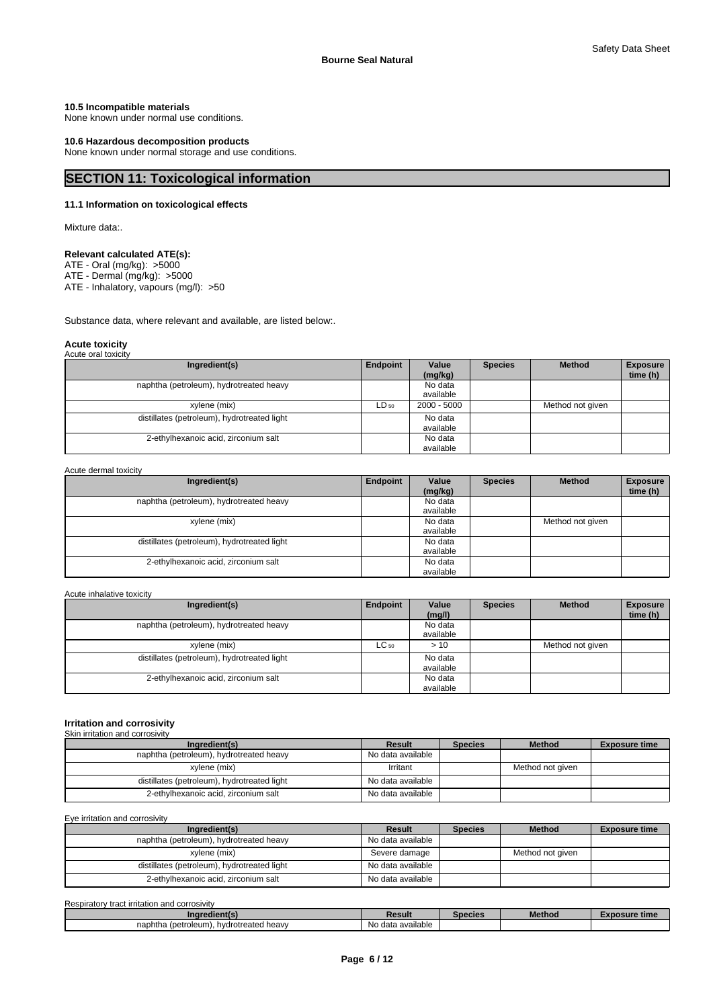#### **10.5 Incompatible materials**

None known under normal use conditions.

#### **10.6 Hazardous decomposition products**

None known under normal storage and use conditions.

## **SECTION 11: Toxicological information**

### **11.1 Information on toxicological effects**

Mixture data:.

### **Relevant calculated ATE(s):**

ATE - Oral (mg/kg): >5000

ATE - Dermal (mg/kg): >5000

ATE - Inhalatory, vapours (mg/l): >50

Substance data, where relevant and available, are listed below:.

#### **Acute toxicity** Acute oral toxicity

| Ingredient(s)                               | Endpoint | Value<br>(mg/kg)     | <b>Species</b> | <b>Method</b>    | <b>Exposure</b><br>time (h) |
|---------------------------------------------|----------|----------------------|----------------|------------------|-----------------------------|
| naphtha (petroleum), hydrotreated heavy     |          | No data<br>available |                |                  |                             |
| xylene (mix)                                | LD 50    | 2000 - 5000          |                | Method not given |                             |
| distillates (petroleum), hydrotreated light |          | No data<br>available |                |                  |                             |
| 2-ethylhexanoic acid, zirconium salt        |          | No data<br>available |                |                  |                             |

#### Acute dermal toxicity

| Ingredient(s)                               | Endpoint | Value<br>(mg/kg)     | <b>Species</b> | <b>Method</b>    | <b>Exposure</b><br>time (h) |
|---------------------------------------------|----------|----------------------|----------------|------------------|-----------------------------|
| naphtha (petroleum), hydrotreated heavy     |          | No data<br>available |                |                  |                             |
| xylene (mix)                                |          | No data<br>available |                | Method not given |                             |
| distillates (petroleum), hydrotreated light |          | No data<br>available |                |                  |                             |
| 2-ethylhexanoic acid, zirconium salt        |          | No data<br>available |                |                  |                             |

#### Acute inhalative toxicity

| Ingredient(s)                               | Endpoint  | Value<br>(mg/l)      | <b>Species</b> | <b>Method</b>    | <b>Exposure</b><br>time (h) |
|---------------------------------------------|-----------|----------------------|----------------|------------------|-----------------------------|
| naphtha (petroleum), hydrotreated heavy     |           | No data<br>available |                |                  |                             |
| xvlene (mix)                                | $LC_{50}$ | >10                  |                | Method not given |                             |
| distillates (petroleum), hydrotreated light |           | No data<br>available |                |                  |                             |
| 2-ethylhexanoic acid, zirconium salt        |           | No data<br>available |                |                  |                             |

#### **Irritation and corrosivity** Skin irritation and corrosivity

| Ingredient(s)                               | Result            | <b>Species</b> | <b>Method</b>    | <b>Exposure time</b> |
|---------------------------------------------|-------------------|----------------|------------------|----------------------|
| naphtha (petroleum), hydrotreated heavy     | No data available |                |                  |                      |
| xvlene (mix)                                | Irritant          |                | Method not given |                      |
| distillates (petroleum), hydrotreated light | No data available |                |                  |                      |
| 2-ethylhexanoic acid, zirconium salt        | No data available |                |                  |                      |

#### Eye irritation and corrosivity

| Ingredient(s)                               | Result            | <b>Species</b> | <b>Method</b>    | <b>Exposure time</b> |
|---------------------------------------------|-------------------|----------------|------------------|----------------------|
| naphtha (petroleum), hydrotreated heavy     | No data available |                |                  |                      |
| xvlene (mix)                                | Severe damage     |                | Method not given |                      |
| distillates (petroleum), hydrotreated light | No data available |                |                  |                      |
| 2-ethylhexanoic acid, zirconium salt        | No data available |                |                  |                      |

| Respiratory tract irritation and<br>I corrosivity |                               |         |               |                     |
|---------------------------------------------------|-------------------------------|---------|---------------|---------------------|
| Ingredient(s)                                     | Result                        | Species | <b>Method</b> | osure time<br>- A L |
| naphtha (petroleum).<br>hydrotreated heavy        | $\cdots$<br>No data available |         |               |                     |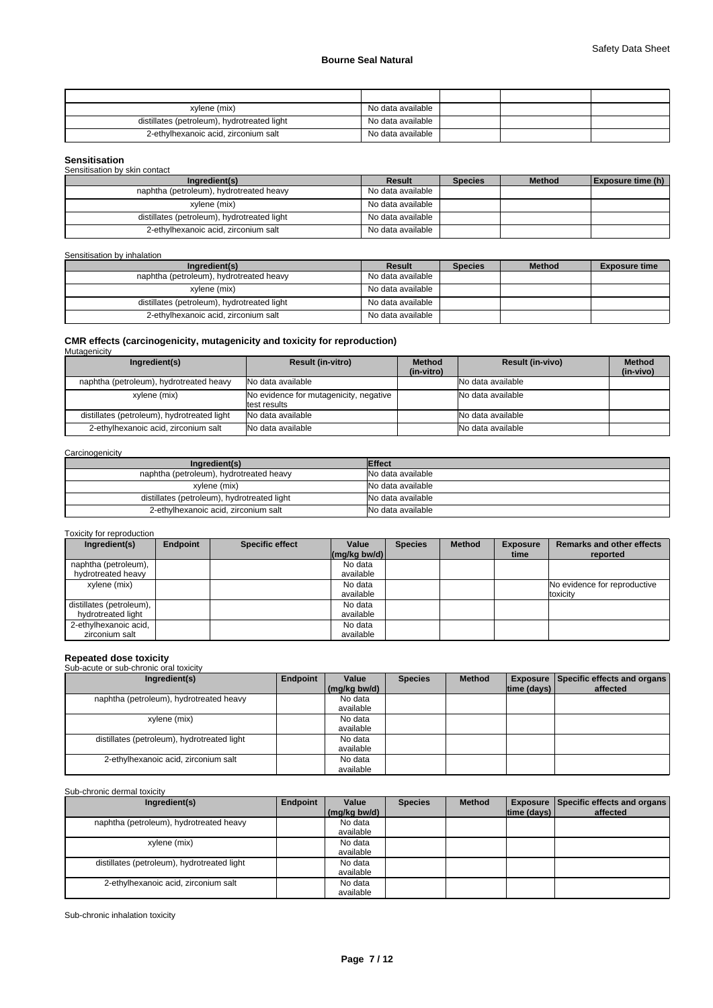| xvlene (mix)                                | No data available |  |  |
|---------------------------------------------|-------------------|--|--|
| distillates (petroleum), hydrotreated light | No data available |  |  |
| 2-ethylhexanoic acid, zirconium salt        | No data available |  |  |

### **Sensitisation**

| Sensitisation by skin contact               |                   |                |               |                   |
|---------------------------------------------|-------------------|----------------|---------------|-------------------|
| Ingredient(s)                               | <b>Result</b>     | <b>Species</b> | <b>Method</b> | Exposure time (h) |
| naphtha (petroleum), hydrotreated heavy     | No data available |                |               |                   |
| xvlene (mix)                                | No data available |                |               |                   |
| distillates (petroleum), hydrotreated light | No data available |                |               |                   |
| 2-ethylhexanoic acid, zirconium salt        | No data available |                |               |                   |

### Sensitisation by inhalation

| Ingredient(s)                               | Result            | <b>Species</b> | <b>Method</b> | <b>Exposure time</b> |
|---------------------------------------------|-------------------|----------------|---------------|----------------------|
| naphtha (petroleum), hydrotreated heavy     | No data available |                |               |                      |
| xvlene (mix)                                | No data available |                |               |                      |
| distillates (petroleum), hydrotreated light | No data available |                |               |                      |
| 2-ethylhexanoic acid, zirconium salt        | No data available |                |               |                      |

## **CMR effects (carcinogenicity, mutagenicity and toxicity for reproduction)** Mutagenicity

| m, m, m, m, m, m                            |                                                        |               |                         |               |
|---------------------------------------------|--------------------------------------------------------|---------------|-------------------------|---------------|
| Ingredient(s)                               | <b>Result (in-vitro)</b>                               | <b>Method</b> | <b>Result (in-vivo)</b> | <b>Method</b> |
|                                             |                                                        | (in-vitro)    |                         | (in-vivo)     |
| naphtha (petroleum), hydrotreated heavy     | INo data available                                     |               | No data available       |               |
| xylene (mix)                                | No evidence for mutagenicity, negative<br>test results |               | No data available       |               |
| distillates (petroleum), hydrotreated light | No data available                                      |               | No data available       |               |
| 2-ethylhexanoic acid, zirconium salt        | No data available                                      |               | No data available       |               |

#### **Carcinogenicity**

| Ingredient(s)                               | <b>Effect</b>     |
|---------------------------------------------|-------------------|
| naphtha (petroleum), hydrotreated heavy     | No data available |
| xylene (mix)                                | No data available |
| distillates (petroleum), hydrotreated light | No data available |
| 2-ethylhexanoic acid, zirconium salt        | No data available |

#### Toxicity for reproduction

| Ingredient(s)              | Endpoint | <b>Specific effect</b> | Value                                      | <b>Species</b> | <b>Method</b> | <b>Exposure</b> | <b>Remarks and other effects</b> |
|----------------------------|----------|------------------------|--------------------------------------------|----------------|---------------|-----------------|----------------------------------|
|                            |          |                        | $\left \frac{\text{mg}}{\text{kg}}\right $ |                |               | time            | reported                         |
| naphtha (petroleum),       |          |                        | No data                                    |                |               |                 |                                  |
| hydrotreated heavy         |          |                        | available                                  |                |               |                 |                                  |
| xylene (mix)               |          |                        | No data                                    |                |               |                 | No evidence for reproductive     |
|                            |          |                        | available                                  |                |               |                 | toxicity                         |
| distillates (petroleum), I |          |                        | No data                                    |                |               |                 |                                  |
| hydrotreated light         |          |                        | available                                  |                |               |                 |                                  |
| 2-ethylhexanoic acid,      |          |                        | No data                                    |                |               |                 |                                  |
| zirconium salt             |          |                        | available                                  |                |               |                 |                                  |

### **Repeated dose toxicity**

### Sub-acute or sub-chronic oral toxicity

| Ingredient(s)                               | Endpoint | Value<br>(mg/kg bw/d) | <b>Species</b> | <b>Method</b> | time (days) | <b>Exposure Specific effects and organs</b><br>affected |
|---------------------------------------------|----------|-----------------------|----------------|---------------|-------------|---------------------------------------------------------|
| naphtha (petroleum), hydrotreated heavy     |          | No data<br>available  |                |               |             |                                                         |
| xylene (mix)                                |          | No data<br>available  |                |               |             |                                                         |
| distillates (petroleum), hydrotreated light |          | No data<br>available  |                |               |             |                                                         |
| 2-ethylhexanoic acid, zirconium salt        |          | No data<br>available  |                |               |             |                                                         |

### Sub-chronic dermal toxicity

| Ingredient(s)                               | Endpoint | Value<br>(mg/kg bw/d) | <b>Species</b> | <b>Method</b> | time (days) | <b>Exposure Specific effects and organs</b><br>affected |
|---------------------------------------------|----------|-----------------------|----------------|---------------|-------------|---------------------------------------------------------|
|                                             |          |                       |                |               |             |                                                         |
| naphtha (petroleum), hydrotreated heavy     |          | No data               |                |               |             |                                                         |
|                                             |          | available             |                |               |             |                                                         |
| xylene (mix)                                |          | No data               |                |               |             |                                                         |
|                                             |          | available             |                |               |             |                                                         |
| distillates (petroleum), hydrotreated light |          | No data               |                |               |             |                                                         |
|                                             |          | available             |                |               |             |                                                         |
| 2-ethylhexanoic acid, zirconium salt        |          | No data               |                |               |             |                                                         |
|                                             |          | available             |                |               |             |                                                         |

Sub-chronic inhalation toxicity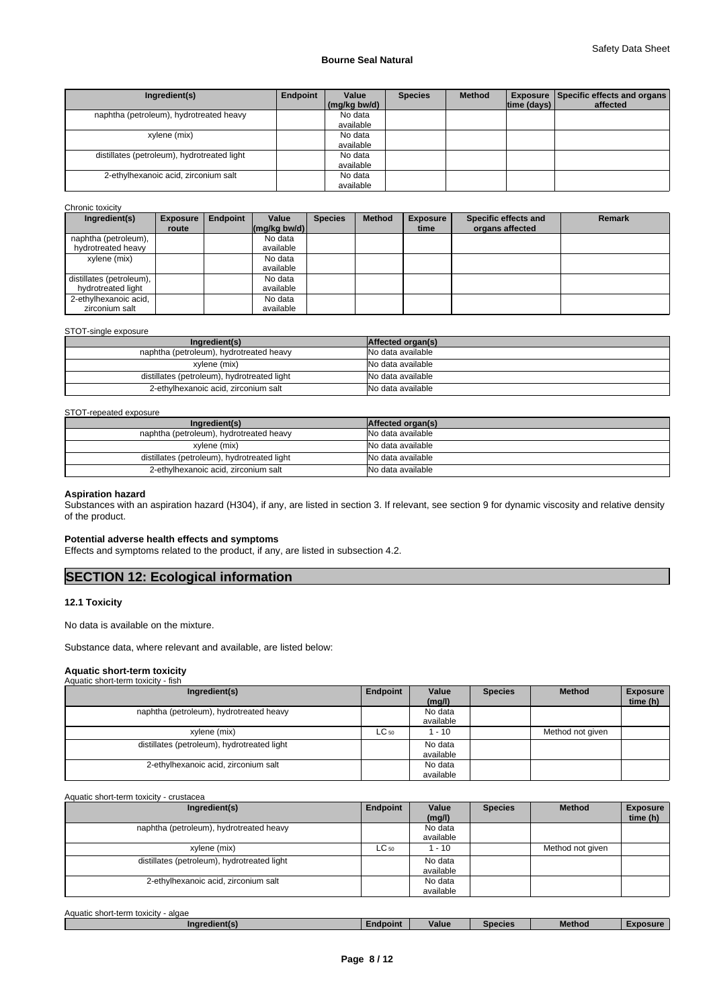| Ingredient(s)                               | Endpoint | Value<br>(mg/kg bw/d) | <b>Species</b> | <b>Method</b> | time (days) | <b>Exposure   Specific effects and organs  </b><br>affected |
|---------------------------------------------|----------|-----------------------|----------------|---------------|-------------|-------------------------------------------------------------|
| naphtha (petroleum), hydrotreated heavy     |          | No data<br>available  |                |               |             |                                                             |
| xylene (mix)                                |          | No data<br>available  |                |               |             |                                                             |
| distillates (petroleum), hydrotreated light |          | No data<br>available  |                |               |             |                                                             |
| 2-ethylhexanoic acid, zirconium salt        |          | No data<br>available  |                |               |             |                                                             |

#### Chronic toxicity

| Ingredient(s)            | <b>Exposure</b><br>route | Endpoint | Value<br>$\left \frac{\text{mg}}{\text{kg}}\right $ bw/d) | <b>Species</b> | <b>Method</b> | <b>Exposure</b><br>time | Specific effects and<br>organs affected | <b>Remark</b> |
|--------------------------|--------------------------|----------|-----------------------------------------------------------|----------------|---------------|-------------------------|-----------------------------------------|---------------|
| naphtha (petroleum),     |                          |          | No data                                                   |                |               |                         |                                         |               |
| hydrotreated heavy       |                          |          | available                                                 |                |               |                         |                                         |               |
| xylene (mix)             |                          |          | No data                                                   |                |               |                         |                                         |               |
|                          |                          |          | available                                                 |                |               |                         |                                         |               |
| distillates (petroleum), |                          |          | No data                                                   |                |               |                         |                                         |               |
| hydrotreated light       |                          |          | available                                                 |                |               |                         |                                         |               |
| 2-ethylhexanoic acid,    |                          |          | No data                                                   |                |               |                         |                                         |               |
| zirconium salt           |                          |          | available                                                 |                |               |                         |                                         |               |

#### STOT-single exposure

| Ingredient(s)                               | Affected organ(s) |
|---------------------------------------------|-------------------|
| naphtha (petroleum), hydrotreated heavy     | No data available |
| xylene (mix)                                | No data available |
| distillates (petroleum), hydrotreated light | No data available |
| 2-ethylhexanoic acid, zirconium salt        | No data available |

#### STOT-repeated exposure

| Ingredient(s)                               | Affected organ(s) |
|---------------------------------------------|-------------------|
| naphtha (petroleum), hydrotreated heavy     | No data available |
| xvlene (mix)                                | No data available |
| distillates (petroleum), hydrotreated light | No data available |
| 2-ethylhexanoic acid, zirconium salt        | No data available |

#### **Aspiration hazard**

Substances with an aspiration hazard (H304), if any, are listed in section 3. If relevant, see section 9 for dynamic viscosity and relative density of the product.

#### **Potential adverse health effects and symptoms**

Effects and symptoms related to the product, if any, are listed in subsection 4.2.

## **SECTION 12: Ecological information**

#### **12.1 Toxicity**

No data is available on the mixture.

Substance data, where relevant and available, are listed below:

#### **Aquatic short-term toxicity**

| Aquatic short-term toxicity - fish          |           |                      |                |                  |                             |
|---------------------------------------------|-----------|----------------------|----------------|------------------|-----------------------------|
| Ingredient(s)                               | Endpoint  | Value<br>(mg/l)      | <b>Species</b> | <b>Method</b>    | <b>Exposure</b><br>time (h) |
| naphtha (petroleum), hydrotreated heavy     |           | No data<br>available |                |                  |                             |
| xylene (mix)                                | $LC_{50}$ | 1 - 10               |                | Method not given |                             |
| distillates (petroleum), hydrotreated light |           | No data<br>available |                |                  |                             |
| 2-ethylhexanoic acid, zirconium salt        |           | No data<br>available |                |                  |                             |

Aquatic short-term toxicity - crustacea

| Ingredient(s)                               | Endpoint  | Value<br>(mg/l)      | <b>Species</b> | <b>Method</b>    | <b>Exposure</b><br>time (h) |
|---------------------------------------------|-----------|----------------------|----------------|------------------|-----------------------------|
| naphtha (petroleum), hydrotreated heavy     |           | No data<br>available |                |                  |                             |
| xylene (mix)                                | $LC_{50}$ | $-10$                |                | Method not given |                             |
| distillates (petroleum), hydrotreated light |           | No data<br>available |                |                  |                             |
| 2-ethylhexanoic acid, zirconium salt        |           | No data<br>available |                |                  |                             |

| Aquatic short-term toxicity<br>algae |          |       |         |        |          |
|--------------------------------------|----------|-------|---------|--------|----------|
| Indredient(s)                        | Endpoint | Value | Species | Method | Exposure |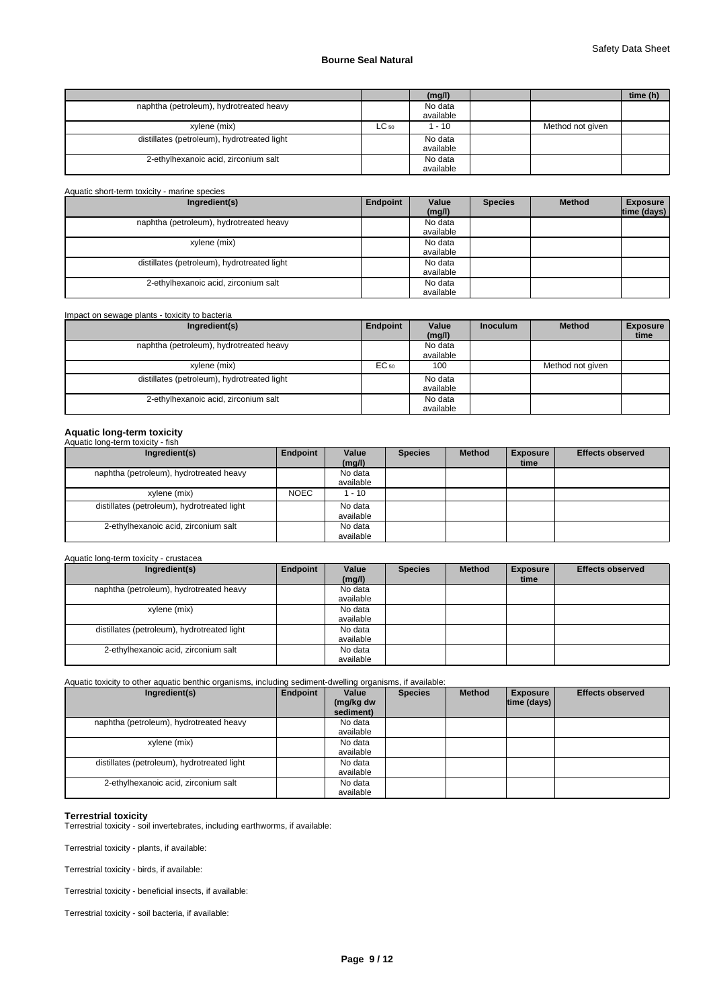|                                             |       | (mg/l)    |                  | time (h) |
|---------------------------------------------|-------|-----------|------------------|----------|
| naphtha (petroleum), hydrotreated heavy     |       | No data   |                  |          |
|                                             |       | available |                  |          |
| xylene (mix)                                | ∟C 50 | $-10$     | Method not given |          |
| distillates (petroleum), hydrotreated light |       | No data   |                  |          |
|                                             |       | available |                  |          |
| 2-ethylhexanoic acid, zirconium salt        |       | No data   |                  |          |
|                                             |       | available |                  |          |

| Aquatic short-term toxicity - marine species |          |                      |                |               |                                |
|----------------------------------------------|----------|----------------------|----------------|---------------|--------------------------------|
| Ingredient(s)                                | Endpoint | Value<br>(mg/l)      | <b>Species</b> | <b>Method</b> | <b>Exposure</b><br>time (days) |
| naphtha (petroleum), hydrotreated heavy      |          | No data<br>available |                |               |                                |
| xylene (mix)                                 |          | No data<br>available |                |               |                                |
| distillates (petroleum), hydrotreated light  |          | No data<br>available |                |               |                                |
| 2-ethylhexanoic acid, zirconium salt         |          | No data<br>available |                |               |                                |

| Impact on sewage plants - toxicity to bacteria |          |                      |                 |                  |                         |  |  |  |
|------------------------------------------------|----------|----------------------|-----------------|------------------|-------------------------|--|--|--|
| Ingredient(s)                                  | Endpoint | Value<br>(mg/l)      | <b>Inoculum</b> | <b>Method</b>    | <b>Exposure</b><br>time |  |  |  |
| naphtha (petroleum), hydrotreated heavy        |          | No data<br>available |                 |                  |                         |  |  |  |
| xylene (mix)                                   | EC 50    | 100                  |                 | Method not given |                         |  |  |  |
| distillates (petroleum), hydrotreated light    |          | No data<br>available |                 |                  |                         |  |  |  |
| 2-ethylhexanoic acid, zirconium salt           |          | No data<br>available |                 |                  |                         |  |  |  |

## **Aquatic long-term toxicity** Aquatic long-term toxicity - fish

| Ingredient(s)                               | Endpoint    | Value<br>(mg/l)      | <b>Species</b> | <b>Method</b> | <b>Exposure</b><br>time | <b>Effects observed</b> |
|---------------------------------------------|-------------|----------------------|----------------|---------------|-------------------------|-------------------------|
| naphtha (petroleum), hydrotreated heavy     |             | No data<br>available |                |               |                         |                         |
| xylene (mix)                                | <b>NOEC</b> | $1 - 10$             |                |               |                         |                         |
| distillates (petroleum), hydrotreated light |             | No data<br>available |                |               |                         |                         |
| 2-ethylhexanoic acid, zirconium salt        |             | No data<br>available |                |               |                         |                         |

```
Aquatic long-term toxicity - crustacea
```

| Ingredient(s)                               | Endpoint | Value<br>(mg/l)      | <b>Species</b> | <b>Method</b> | <b>Exposure</b><br>time | <b>Effects observed</b> |
|---------------------------------------------|----------|----------------------|----------------|---------------|-------------------------|-------------------------|
| naphtha (petroleum), hydrotreated heavy     |          | No data<br>available |                |               |                         |                         |
| xylene (mix)                                |          | No data<br>available |                |               |                         |                         |
| distillates (petroleum), hydrotreated light |          | No data<br>available |                |               |                         |                         |
| 2-ethylhexanoic acid, zirconium salt        |          | No data<br>available |                |               |                         |                         |

Aquatic toxicity to other aquatic benthic organisms, including sediment-dwelling organisms, if available:

| Ingredient(s)                               | Endpoint | Value<br>(mg/kg dw<br>sediment) | <b>Species</b> | <b>Method</b> | <b>Exposure</b><br>$ time$ (days) $ $ | <b>Effects observed</b> |
|---------------------------------------------|----------|---------------------------------|----------------|---------------|---------------------------------------|-------------------------|
| naphtha (petroleum), hydrotreated heavy     |          | No data                         |                |               |                                       |                         |
|                                             |          | available                       |                |               |                                       |                         |
| xylene (mix)                                |          | No data                         |                |               |                                       |                         |
|                                             |          | available                       |                |               |                                       |                         |
| distillates (petroleum), hydrotreated light |          | No data                         |                |               |                                       |                         |
|                                             |          | available                       |                |               |                                       |                         |
| 2-ethylhexanoic acid, zirconium salt        |          | No data                         |                |               |                                       |                         |
|                                             |          | available                       |                |               |                                       |                         |

#### **Terrestrial toxicity**

Terrestrial toxicity - soil invertebrates, including earthworms, if available:

Terrestrial toxicity - plants, if available:

Terrestrial toxicity - birds, if available:

Terrestrial toxicity - beneficial insects, if available:

Terrestrial toxicity - soil bacteria, if available: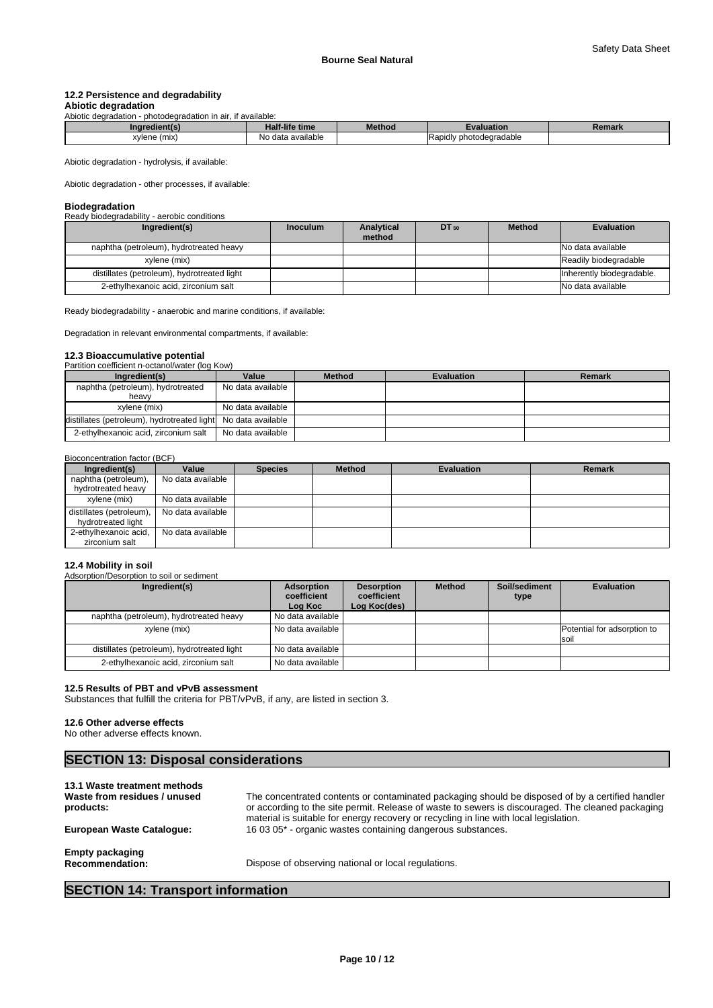## **12.2 Persistence and degradability**

#### **Abiotic degradation** Abiotic degradation - photodegradation in air, if available:

| Inaredi         | Half-life time        | <b>Method</b> | valuation.                   | Remark |
|-----------------|-----------------------|---------------|------------------------------|--------|
| xvlene<br>(mix) | data available<br>No. |               | / photodegradable<br>Rapidly |        |

Abiotic degradation - hydrolysis, if available:

Abiotic degradation - other processes, if available:

## **Biodegradation**

Ready biodegradability - aerobic conditions

| Ingredient(s)                               | <b>Inoculum</b> | Analytical<br>method | $DT_{50}$ | <b>Method</b> | <b>Evaluation</b>         |
|---------------------------------------------|-----------------|----------------------|-----------|---------------|---------------------------|
| naphtha (petroleum), hydrotreated heavy     |                 |                      |           |               | No data available         |
| xylene (mix)                                |                 |                      |           |               | Readily biodegradable     |
| distillates (petroleum), hydrotreated light |                 |                      |           |               | Inherently biodegradable. |
| 2-ethylhexanoic acid, zirconium salt        |                 |                      |           |               | No data available         |

Ready biodegradability - anaerobic and marine conditions, if available:

Degradation in relevant environmental compartments, if available:

#### **12.3 Bioaccumulative potential** Partition coefficient n-octanol/water (log Kow)

| Ingredient(s)                                                 | Value             | <b>Method</b> | <b>Evaluation</b> | Remark |
|---------------------------------------------------------------|-------------------|---------------|-------------------|--------|
| naphtha (petroleum), hydrotreated<br>heavv                    | No data available |               |                   |        |
| xvlene (mix)                                                  | No data available |               |                   |        |
| distillates (petroleum), hydrotreated light No data available |                   |               |                   |        |
| 2-ethylhexanoic acid, zirconium salt                          | No data available |               |                   |        |

#### Bioconcentration factor (BCF)

| Ingredient(s)                                  | Value             | <b>Species</b> | <b>Method</b> | <b>Evaluation</b> | Remark |
|------------------------------------------------|-------------------|----------------|---------------|-------------------|--------|
| naphtha (petroleum),<br>hydrotreated heavy     | No data available |                |               |                   |        |
| xylene (mix)                                   | No data available |                |               |                   |        |
| distillates (petroleum),<br>hydrotreated light | No data available |                |               |                   |        |
| 2-ethylhexanoic acid,<br>zirconium salt        | No data available |                |               |                   |        |

#### **12.4 Mobility in soil**

Adsorption/Desorption to soil or sediment

| Ingredient(s)                               | <b>Adsorption</b><br>coefficient<br>Log Koc | <b>Desorption</b><br>coefficient<br>Log Koc(des) | <b>Method</b> | Soil/sediment<br>type | <b>Evaluation</b>                   |
|---------------------------------------------|---------------------------------------------|--------------------------------------------------|---------------|-----------------------|-------------------------------------|
| naphtha (petroleum), hydrotreated heavy     | No data available                           |                                                  |               |                       |                                     |
| xylene (mix)                                | No data available                           |                                                  |               |                       | Potential for adsorption to<br>soil |
| distillates (petroleum), hydrotreated light | No data available                           |                                                  |               |                       |                                     |
| 2-ethylhexanoic acid, zirconium salt        | No data available                           |                                                  |               |                       |                                     |

#### **12.5 Results of PBT and vPvB assessment**

Substances that fulfill the criteria for PBT/vPvB, if any, are listed in section 3.

#### **12.6 Other adverse effects**

No other adverse effects known.

## **SECTION 13: Disposal considerations**

| 13.1 Waste treatment methods<br>Waste from residues / unused<br>products: | The concentrated contents or contaminated packaging should be disposed of by a certified handler<br>or according to the site permit. Release of waste to sewers is discouraged. The cleaned packaging<br>material is suitable for energy recovery or recycling in line with local legislation. |
|---------------------------------------------------------------------------|------------------------------------------------------------------------------------------------------------------------------------------------------------------------------------------------------------------------------------------------------------------------------------------------|
| European Waste Catalogue:                                                 | 16 03 05* - organic wastes containing dangerous substances.                                                                                                                                                                                                                                    |
| <b>Empty packaging</b><br><b>Recommendation:</b>                          | Dispose of observing national or local regulations.                                                                                                                                                                                                                                            |

## **SECTION 14: Transport information**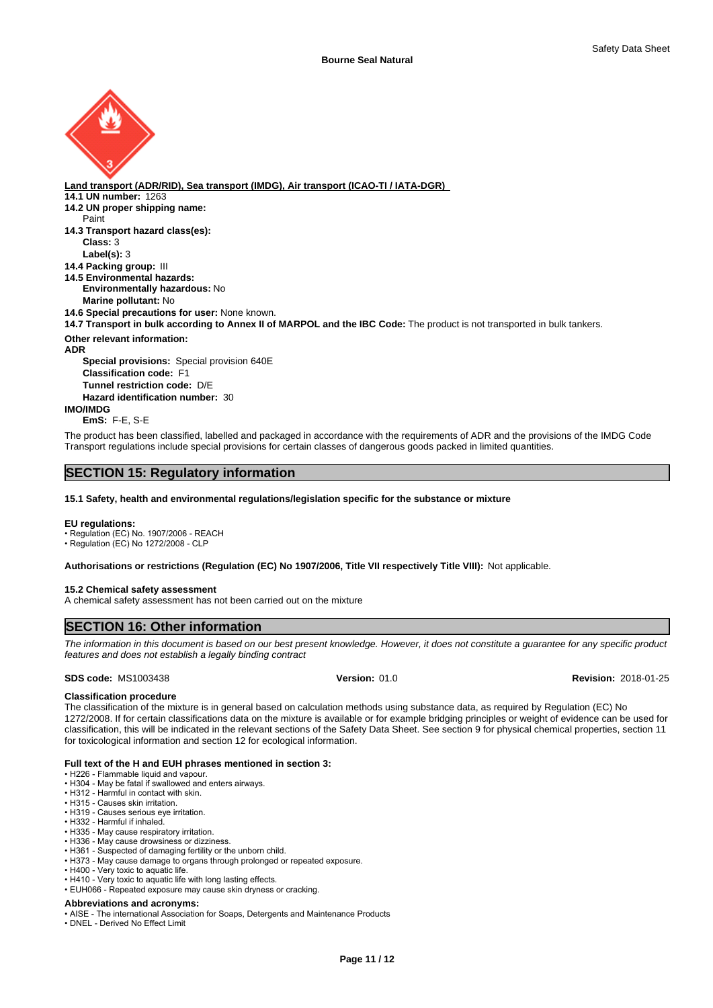

**Land transport (ADR/RID), Sea transport (IMDG), Air transport (ICAO-TI / IATA-DGR) 14.1 UN number:** 1263 **14.2 UN proper shipping name: 14.3 Transport hazard class(es): Class:** 3 **Label(s):** 3 **14.4 Packing group:** III **14.5 Environmental hazards: Environmentally hazardous:** No **Marine pollutant:** No **14.6 Special precautions for user:** None known. **14.7 Transport in bulk according to Annex II of MARPOL and the IBC Code:** The product is not transported in bulk tankers. **Other relevant information: ADR Special provisions:** Special provision 640E **Classification code:** F1 **Tunnel restriction code:** D/E **Hazard identification number:** 30 **IMO/IMDG** Paint

**EmS:** F-E, S-E

The product has been classified, labelled and packaged in accordance with the requirements of ADR and the provisions of the IMDG Code Transport regulations include special provisions for certain classes of dangerous goods packed in limited quantities.

## **SECTION 15: Regulatory information**

#### **15.1 Safety, health and environmental regulations/legislation specific for the substance or mixture**

#### **EU regulations:**

• Regulation (EC) No. 1907/2006 - REACH • Regulation (EC) No 1272/2008 - CLP

**Authorisations or restrictions (Regulation (EC) No 1907/2006, Title VII respectively Title VIII):** Not applicable.

#### **15.2 Chemical safety assessment**

A chemical safety assessment has not been carried out on the mixture

#### **SECTION 16: Other information**

*The information in this document is based on our best present knowledge. However, it does not constitute a guarantee for any specific product features and does not establish a legally binding contract*

**SDS code:** MS1003438 **Version:** 01.0 **Revision:** 2018-01-25

## **Classification procedure**

The classification of the mixture is in general based on calculation methods using substance data, as required by Regulation (EC) No 1272/2008. If for certain classifications data on the mixture is available or for example bridging principles or weight of evidence can be used for classification, this will be indicated in the relevant sections of the Safety Data Sheet. See section 9 for physical chemical properties, section 11 for toxicological information and section 12 for ecological information.

#### **Full text of the H and EUH phrases mentioned in section 3:**

• H226 - Flammable liquid and vapour.

- H304 May be fatal if swallowed and enters airways.
- H312 Harmful in contact with skin. • H315 - Causes skin irritation.
- H319 Causes serious eye irritation.
- H332 Harmful if inhaled.
- H335 May cause respiratory irritation.
- H336 May cause drowsiness or dizziness.
- •H361 Suspected of damaging fertility or the unborn child.
- H373 May cause damage to organs through prolonged or repeated exposure.
- H400 Very toxic to aquatic life.
- H410 Very toxic to aquatic life with long lasting effects.
- EUH066 Repeated exposure may cause skin dryness or cracking.

### **Abbreviations and acronyms:**

• AISE - The international Association for Soaps, Detergents and Maintenance Products

• DNEL - Derived No Effect Limit